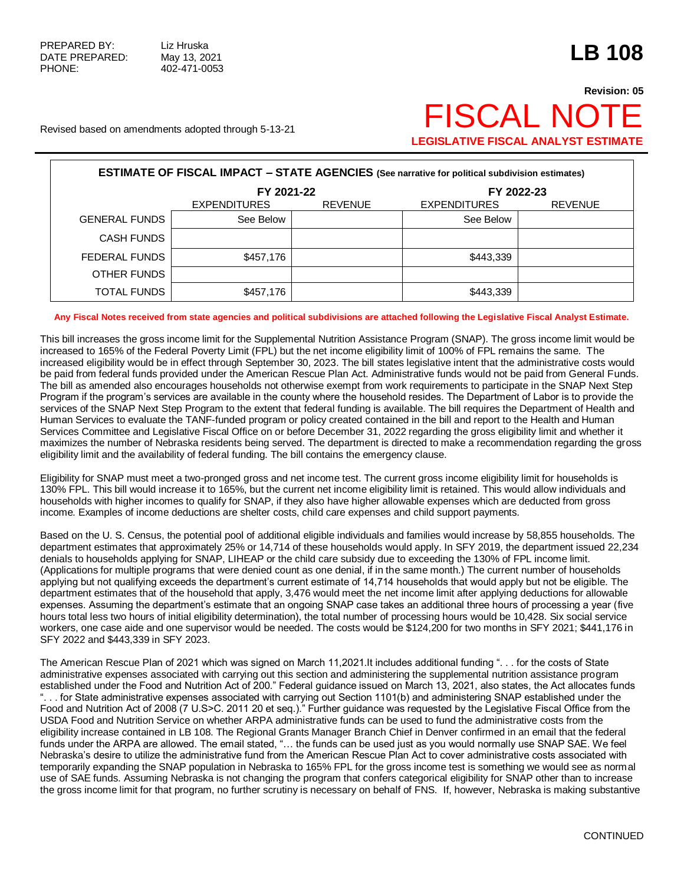## **Revision: 05** Revised based on amendments adopted through 5-13-21  $\mathsf{F}$  SCAL NO **LEGISLATIVE FISCAL ANALYST ESTIMATE**

| <b>ESTIMATE OF FISCAL IMPACT - STATE AGENCIES (See narrative for political subdivision estimates)</b> |                                                                            |  |                |  |  |  |
|-------------------------------------------------------------------------------------------------------|----------------------------------------------------------------------------|--|----------------|--|--|--|
|                                                                                                       | FY 2021-22<br><b>REVENUE</b><br><b>EXPENDITURES</b><br><b>EXPENDITURES</b> |  | FY 2022-23     |  |  |  |
|                                                                                                       |                                                                            |  | <b>REVENUE</b> |  |  |  |
| <b>GENERAL FUNDS</b>                                                                                  | See Below                                                                  |  | See Below      |  |  |  |
| <b>CASH FUNDS</b>                                                                                     |                                                                            |  |                |  |  |  |
| FEDERAL FUNDS                                                                                         | \$457,176                                                                  |  | \$443,339      |  |  |  |
| OTHER FUNDS                                                                                           |                                                                            |  |                |  |  |  |
| <b>TOTAL FUNDS</b>                                                                                    | \$457,176                                                                  |  | \$443,339      |  |  |  |

## **Any Fiscal Notes received from state agencies and political subdivisions are attached following the Legislative Fiscal Analyst Estimate.**

This bill increases the gross income limit for the Supplemental Nutrition Assistance Program (SNAP). The gross income limit would be increased to 165% of the Federal Poverty Limit (FPL) but the net income eligibility limit of 100% of FPL remains the same. The increased eligibility would be in effect through September 30, 2023. The bill states legislative intent that the administrative costs would be paid from federal funds provided under the American Rescue Plan Act. Administrative funds would not be paid from General Funds. The bill as amended also encourages households not otherwise exempt from work requirements to participate in the SNAP Next Step Program if the program's services are available in the county where the household resides. The Department of Labor is to provide the services of the SNAP Next Step Program to the extent that federal funding is available. The bill requires the Department of Health and Human Services to evaluate the TANF-funded program or policy created contained in the bill and report to the Health and Human Services Committee and Legislative Fiscal Office on or before December 31, 2022 regarding the gross eligibility limit and whether it maximizes the number of Nebraska residents being served. The department is directed to make a recommendation regarding the gross eligibility limit and the availability of federal funding. The bill contains the emergency clause.

Eligibility for SNAP must meet a two-pronged gross and net income test. The current gross income eligibility limit for households is 130% FPL. This bill would increase it to 165%, but the current net income eligibility limit is retained. This would allow individuals and households with higher incomes to qualify for SNAP, if they also have higher allowable expenses which are deducted from gross income. Examples of income deductions are shelter costs, child care expenses and child support payments.

Based on the U. S. Census, the potential pool of additional eligible individuals and families would increase by 58,855 households. The department estimates that approximately 25% or 14,714 of these households would apply. In SFY 2019, the department issued 22,234 denials to households applying for SNAP, LIHEAP or the child care subsidy due to exceeding the 130% of FPL income limit. (Applications for multiple programs that were denied count as one denial, if in the same month.) The current number of households applying but not qualifying exceeds the department's current estimate of 14,714 households that would apply but not be eligible. The department estimates that of the household that apply, 3,476 would meet the net income limit after applying deductions for allowable expenses. Assuming the department's estimate that an ongoing SNAP case takes an additional three hours of processing a year (five hours total less two hours of initial eligibility determination), the total number of processing hours would be 10,428. Six social service workers, one case aide and one supervisor would be needed. The costs would be \$124,200 for two months in SFY 2021; \$441,176 in SFY 2022 and \$443,339 in SFY 2023.

The American Rescue Plan of 2021 which was signed on March 11,2021.It includes additional funding ". . . for the costs of State administrative expenses associated with carrying out this section and administering the supplemental nutrition assistance program established under the Food and Nutrition Act of 200." Federal guidance issued on March 13, 2021, also states, the Act allocates funds ". . . for State administrative expenses associated with carrying out Section 1101(b) and administering SNAP established under the Food and Nutrition Act of 2008 (7 U.S>C. 2011 20 et seq.)." Further guidance was requested by the Legislative Fiscal Office from the USDA Food and Nutrition Service on whether ARPA administrative funds can be used to fund the administrative costs from the eligibility increase contained in LB 108. The Regional Grants Manager Branch Chief in Denver confirmed in an email that the federal funds under the ARPA are allowed. The email stated, "… the funds can be used just as you would normally use SNAP SAE. We feel Nebraska's desire to utilize the administrative fund from the American Rescue Plan Act to cover administrative costs associated with temporarily expanding the SNAP population in Nebraska to 165% FPL for the gross income test is something we would see as normal use of SAE funds. Assuming Nebraska is not changing the program that confers categorical eligibility for SNAP other than to increase the gross income limit for that program, no further scrutiny is necessary on behalf of FNS. If, however, Nebraska is making substantive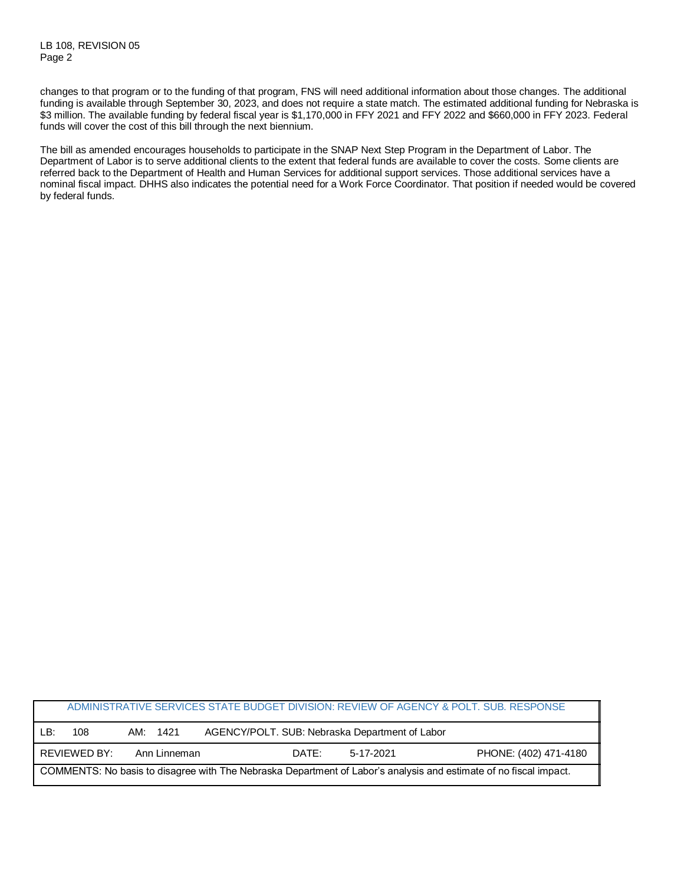changes to that program or to the funding of that program, FNS will need additional information about those changes. The additional funding is available through September 30, 2023, and does not require a state match. The estimated additional funding for Nebraska is \$3 million. The available funding by federal fiscal year is \$1,170,000 in FFY 2021 and FFY 2022 and \$660,000 in FFY 2023. Federal funds will cover the cost of this bill through the next biennium.

The bill as amended encourages households to participate in the SNAP Next Step Program in the Department of Labor. The Department of Labor is to serve additional clients to the extent that federal funds are available to cover the costs. Some clients are referred back to the Department of Health and Human Services for additional support services. Those additional services have a nominal fiscal impact. DHHS also indicates the potential need for a Work Force Coordinator. That position if needed would be covered by federal funds.

|                                                                                                                   |              |              |                                                |           | ADMINISTRATIVE SERVICES STATE BUDGET DIVISION: REVIEW OF AGENCY & POLT. SUB. RESPONSE |
|-------------------------------------------------------------------------------------------------------------------|--------------|--------------|------------------------------------------------|-----------|---------------------------------------------------------------------------------------|
| l B:                                                                                                              | 108          | AM: 1421     | AGENCY/POLT. SUB: Nebraska Department of Labor |           |                                                                                       |
|                                                                                                                   | REVIEWED BY: | Ann Linneman | DATE:                                          | 5-17-2021 | PHONE: (402) 471-4180                                                                 |
| COMMENTS: No basis to disagree with The Nebraska Department of Labor's analysis and estimate of no fiscal impact. |              |              |                                                |           |                                                                                       |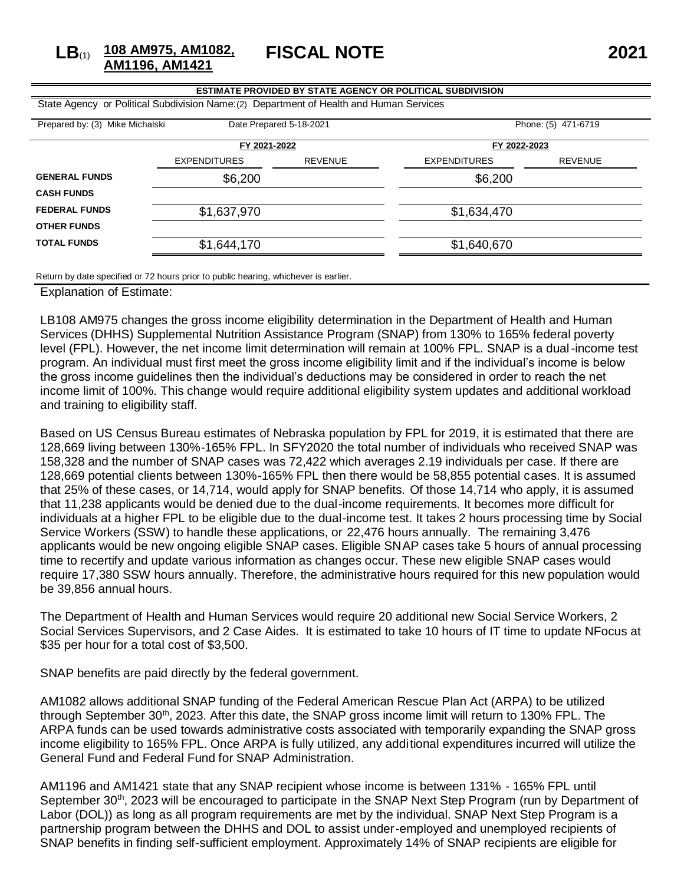**LB**(1) **108 AM975, AM1082, AM1196, AM1421**

**FISCAL NOTE 2021**

| <b>ESTIMATE PROVIDED BY STATE AGENCY OR POLITICAL SUBDIVISION</b>                       |                     |                |                     |                |  |  |
|-----------------------------------------------------------------------------------------|---------------------|----------------|---------------------|----------------|--|--|
| State Agency or Political Subdivision Name: (2) Department of Health and Human Services |                     |                |                     |                |  |  |
| Prepared by: (3) Mike Michalski<br>Date Prepared 5-18-2021<br>Phone: (5) 471-6719       |                     |                |                     |                |  |  |
|                                                                                         | FY 2021-2022        |                | FY 2022-2023        |                |  |  |
|                                                                                         | <b>EXPENDITURES</b> | <b>REVENUE</b> | <b>EXPENDITURES</b> | <b>REVENUE</b> |  |  |
| <b>GENERAL FUNDS</b>                                                                    | \$6,200             |                | \$6,200             |                |  |  |
| <b>CASH FUNDS</b>                                                                       |                     |                |                     |                |  |  |
| <b>FEDERAL FUNDS</b>                                                                    | \$1,637,970         |                | \$1,634,470         |                |  |  |
| <b>OTHER FUNDS</b>                                                                      |                     |                |                     |                |  |  |
| <b>TOTAL FUNDS</b>                                                                      | \$1,644,170         |                | \$1,640,670         |                |  |  |
|                                                                                         |                     |                |                     |                |  |  |

Return by date specified or 72 hours prior to public hearing, whichever is earlier.

Explanation of Estimate:

LB108 AM975 changes the gross income eligibility determination in the Department of Health and Human Services (DHHS) Supplemental Nutrition Assistance Program (SNAP) from 130% to 165% federal poverty level (FPL). However, the net income limit determination will remain at 100% FPL. SNAP is a dual-income test program. An individual must first meet the gross income eligibility limit and if the individual's income is below the gross income guidelines then the individual's deductions may be considered in order to reach the net income limit of 100%. This change would require additional eligibility system updates and additional workload and training to eligibility staff.

Based on US Census Bureau estimates of Nebraska population by FPL for 2019, it is estimated that there are 128,669 living between 130%-165% FPL. In SFY2020 the total number of individuals who received SNAP was 158,328 and the number of SNAP cases was 72,422 which averages 2.19 individuals per case. If there are 128,669 potential clients between 130%-165% FPL then there would be 58,855 potential cases. It is assumed that 25% of these cases, or 14,714, would apply for SNAP benefits. Of those 14,714 who apply, it is assumed that 11,238 applicants would be denied due to the dual-income requirements. It becomes more difficult for individuals at a higher FPL to be eligible due to the dual-income test. It takes 2 hours processing time by Social Service Workers (SSW) to handle these applications, or 22,476 hours annually. The remaining 3,476 applicants would be new ongoing eligible SNAP cases. Eligible SNAP cases take 5 hours of annual processing time to recertify and update various information as changes occur. These new eligible SNAP cases would require 17,380 SSW hours annually. Therefore, the administrative hours required for this new population would be 39,856 annual hours.

The Department of Health and Human Services would require 20 additional new Social Service Workers, 2 Social Services Supervisors, and 2 Case Aides. It is estimated to take 10 hours of IT time to update NFocus at \$35 per hour for a total cost of \$3,500.

SNAP benefits are paid directly by the federal government.

AM1082 allows additional SNAP funding of the Federal American Rescue Plan Act (ARPA) to be utilized through September 30<sup>th</sup>, 2023. After this date, the SNAP gross income limit will return to 130% FPL. The ARPA funds can be used towards administrative costs associated with temporarily expanding the SNAP gross income eligibility to 165% FPL. Once ARPA is fully utilized, any additional expenditures incurred will utilize the General Fund and Federal Fund for SNAP Administration.

AM1196 and AM1421 state that any SNAP recipient whose income is between 131% - 165% FPL until September 30<sup>th</sup>, 2023 will be encouraged to participate in the SNAP Next Step Program (run by Department of Labor (DOL)) as long as all program requirements are met by the individual. SNAP Next Step Program is a partnership program between the DHHS and DOL to assist under-employed and unemployed recipients of SNAP benefits in finding self-sufficient employment. Approximately 14% of SNAP recipients are eligible for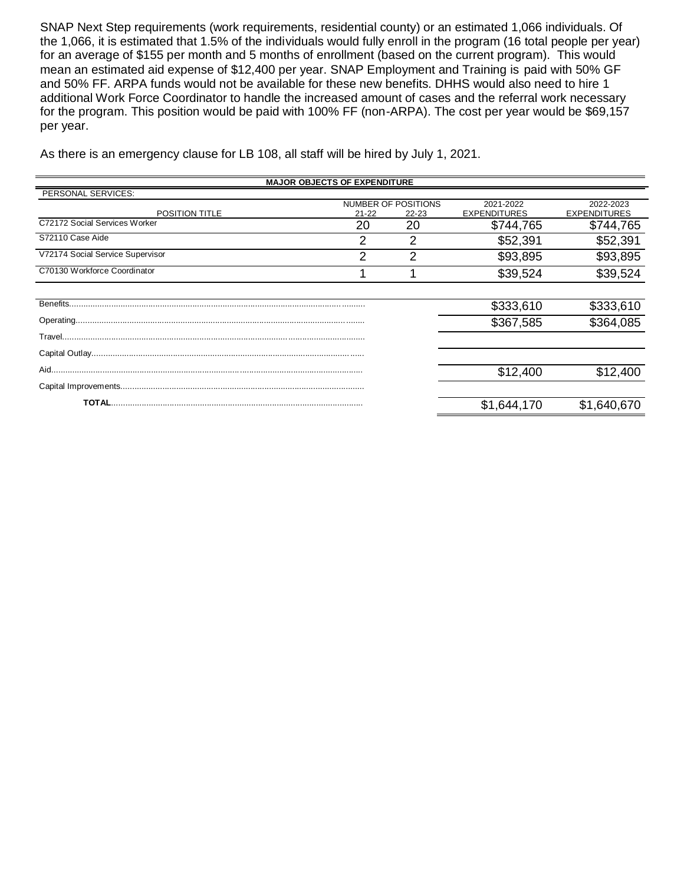SNAP Next Step requirements (work requirements, residential county) or an estimated 1,066 individuals. Of the 1,066, it is estimated that 1.5% of the individuals would fully enroll in the program (16 total people per year) for an average of \$155 per month and 5 months of enrollment (based on the current program). This would mean an estimated aid expense of \$12,400 per year. SNAP Employment and Training is paid with 50% GF and 50% FF. ARPA funds would not be available for these new benefits. DHHS would also need to hire 1 additional Work Force Coordinator to handle the increased amount of cases and the referral work necessary for the program. This position would be paid with 100% FF (non-ARPA). The cost per year would be \$69,157 per year.

As there is an emergency clause for LB 108, all staff will be hired by July 1, 2021.

| <b>MAJOR OBJECTS OF EXPENDITURE</b> |           |                     |                     |                     |  |
|-------------------------------------|-----------|---------------------|---------------------|---------------------|--|
| PERSONAL SERVICES:                  |           |                     |                     |                     |  |
|                                     |           | NUMBER OF POSITIONS | 2021-2022           | 2022-2023           |  |
| POSITION TITLE                      | $21 - 22$ | $22 - 23$           | <b>EXPENDITURES</b> | <b>EXPENDITURES</b> |  |
| C72172 Social Services Worker       | 20        | 20                  | \$744,765           | \$744,765           |  |
| S72110 Case Aide                    | 2         | 2                   | \$52,391            | \$52,391            |  |
| V72174 Social Service Supervisor    | っ         | ◠                   | \$93,895            | \$93,895            |  |
| C70130 Workforce Coordinator        |           |                     | \$39,524            | \$39,524            |  |
|                                     |           |                     |                     |                     |  |
|                                     |           |                     | \$333,610           | \$333,610           |  |
|                                     |           |                     | \$367,585           | \$364,085           |  |
|                                     |           |                     |                     |                     |  |
|                                     |           |                     |                     |                     |  |
|                                     |           |                     | \$12,400            | \$12,400            |  |
|                                     |           |                     |                     |                     |  |
|                                     |           |                     | \$1,644,170         | \$1,640,670         |  |